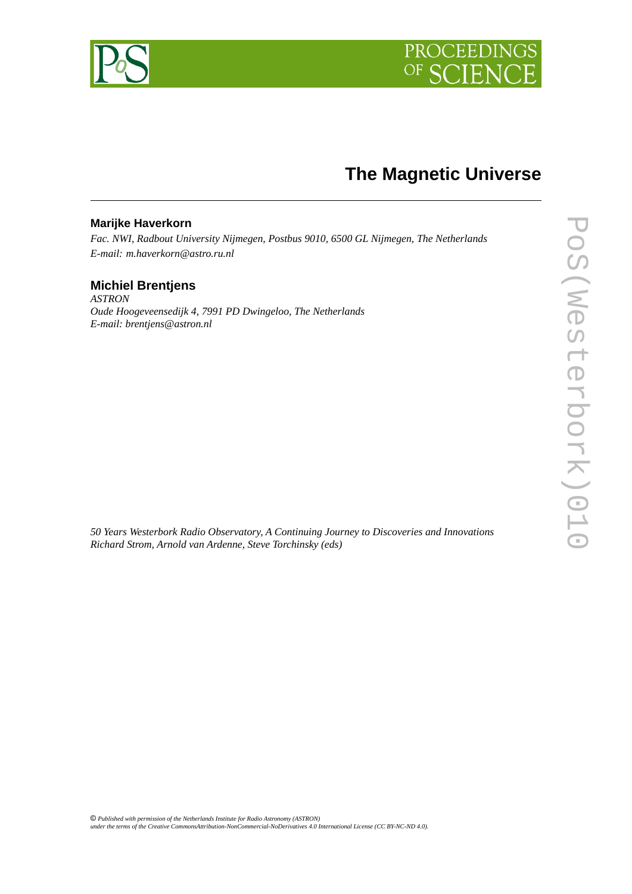



# **The Magnetic Universe**

# **Marijke Haverkorn**

*Fac. NWI, Radbout University Nijmegen, Postbus 9010, 6500 GL Nijmegen, The Netherlands E-mail: m.haverkorn@astro.ru.nl*

# **Michiel Brentjens**

*ASTRON Oude Hoogeveensedijk 4, 7991 PD Dwingeloo, The Netherlands E-mail: brentjens@astron.nl*

*50 Years Westerbork Radio Observatory, A Continuing Journey to Discoveries and Innovations Richard Strom, Arnold van Ardenne, Steve Torchinsky (eds)*

*Published with permission of the Netherlands Institute for Radio Astronomy (ASTRON) under the terms of the Creative CommonsAttribution-NonCommercial-NoDerivatives 4.0 International License (CC BY-NC-ND 4.0).*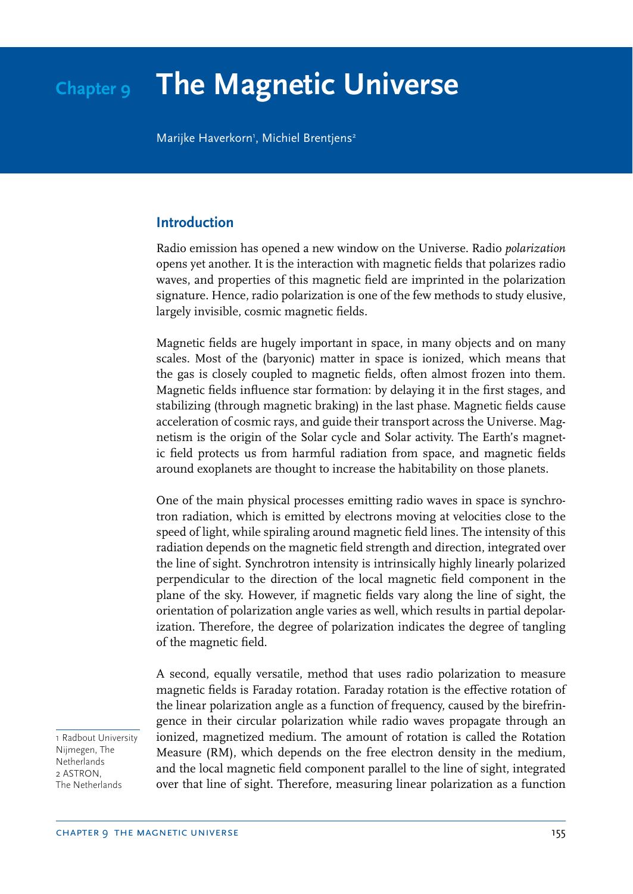# **Chapter 9 The Magnetic Universe**

Marijke Haverkorn', Michiel Brentjens<sup>2</sup>

# **Introduction**

Radio emission has opened a new window on the Universe. Radio *polarization* opens yet another. It is the interaction with magnetic fields that polarizes radio waves, and properties of this magnetic field are imprinted in the polarization signature. Hence, radio polarization is one of the few methods to study elusive, largely invisible, cosmic magnetic fields.

Magnetic fields are hugely important in space, in many objects and on many scales. Most of the (baryonic) matter in space is ionized, which means that the gas is closely coupled to magnetic fields, often almost frozen into them. Magnetic fields influence star formation: by delaying it in the first stages, and stabilizing (through magnetic braking) in the last phase. Magnetic fields cause acceleration of cosmic rays, and guide their transport across the Universe. Magnetism is the origin of the Solar cycle and Solar activity. The Earth's magnetic field protects us from harmful radiation from space, and magnetic fields around exoplanets are thought to increase the habitability on those planets.

One of the main physical processes emitting radio waves in space is synchrotron radiation, which is emitted by electrons moving at velocities close to the speed of light, while spiraling around magnetic field lines. The intensity of this radiation depends on the magnetic field strength and direction, integrated over the line of sight. Synchrotron intensity is intrinsically highly linearly polarized perpendicular to the direction of the local magnetic field component in the plane of the sky. However, if magnetic fields vary along the line of sight, the orientation of polarization angle varies as well, which results in partial depolarization. Therefore, the degree of polarization indicates the degree of tangling of the magnetic field.

A second, equally versatile, method that uses radio polarization to measure magnetic fields is Faraday rotation. Faraday rotation is the effective rotation of the linear polarization angle as a function of frequency, caused by the birefringence in their circular polarization while radio waves propagate through an ionized, magnetized medium. The amount of rotation is called the Rotation Measure (RM), which depends on the free electron density in the medium, and the local magnetic field component parallel to the line of sight, integrated over that line of sight. Therefore, measuring linear polarization as a function

1 Radbout University Nijmegen, The **Netherlands** 2 ASTRON, The Netherlands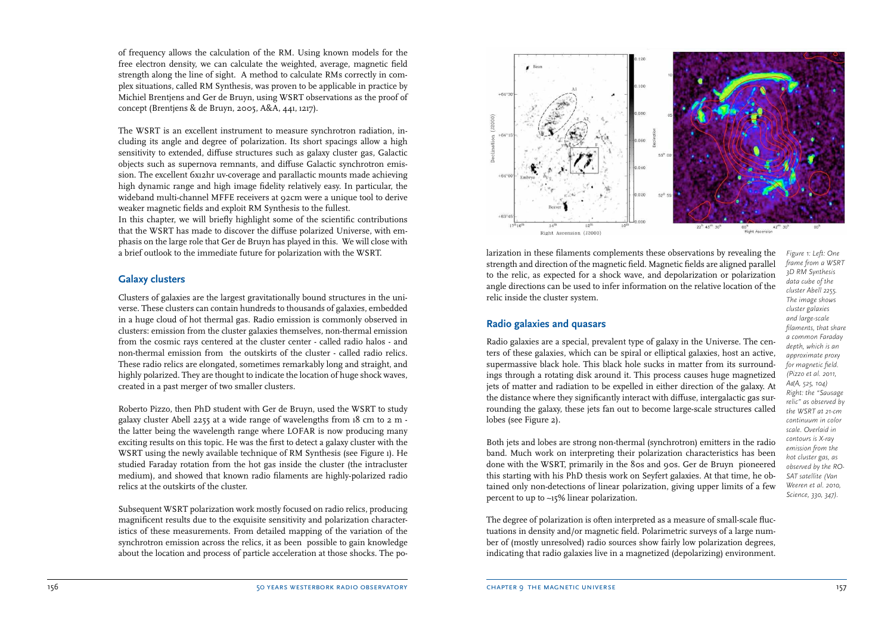of frequency allows the calculation of the RM. Using known models for the free electron density, we can calculate the weighted, average, magnetic field strength along the line of sight. A method to calculate RMs correctly in complex situations, called RM Synthesis, was proven to be applicable in practice by Michiel Brentjens and Ger de Bruyn, using WSRT observations as the proof of concept (Brentjens & de Bruyn, 2005, A&A, 441, 1217).

The WSRT is an excellent instrument to measure synchrotron radiation, including its angle and degree of polarization. Its short spacings allow a high sensitivity to extended, diffuse structures such as galaxy cluster gas, Galactic objects such as supernova remnants, and diffuse Galactic synchrotron emission. The excellent 6x12hr uv-coverage and parallactic mounts made achieving high dynamic range and high image fidelity relatively easy. In particular, the wideband multi-channel MFFE receivers at 92cm were a unique tool to derive weaker magnetic fields and exploit RM Synthesis to the fullest.

In this chapter, we will briefly highlight some of the scientific contributions that the WSRT has made to discover the diffuse polarized Universe, with emphasis on the large role that Ger de Bruyn has played in this. We will close with a brief outlook to the immediate future for polarization with the WSRT.

#### **Galaxy clusters**

Clusters of galaxies are the largest gravitationally bound structures in the universe. These clusters can contain hundreds to thousands of galaxies, embedded in a huge cloud of hot thermal gas. Radio emission is commonly observed in clusters: emission from the cluster galaxies themselves, non-thermal emission from the cosmic rays centered at the cluster center - called radio halos - and non-thermal emission from the outskirts of the cluster - called radio relics. These radio relics are elongated, sometimes remarkably long and straight, and highly polarized. They are thought to indicate the location of huge shock waves, created in a past merger of two smaller clusters.

Roberto Pizzo, then PhD student with Ger de Bruyn, used the WSRT to study galaxy cluster Abell 2255 at a wide range of wavelengths from 18 cm to 2 m the latter being the wavelength range where LOFAR is now producing many exciting results on this topic. He was the first to detect a galaxy cluster with the WSRT using the newly available technique of RM Synthesis (see Figure 1). He studied Faraday rotation from the hot gas inside the cluster (the intracluster medium), and showed that known radio filaments are highly-polarized radio relics at the outskirts of the cluster.

Subsequent WSRT polarization work mostly focused on radio relics, producing magnificent results due to the exquisite sensitivity and polarization characteristics of these measurements. From detailed mapping of the variation of the synchrotron emission across the relics, it as been possible to gain knowledge about the location and process of particle acceleration at those shocks. The po-



larization in these filaments complements these observations by revealing the strength and direction of the magnetic field. Magnetic fields are aligned parallel to the relic, as expected for a shock wave, and depolarization or polarization angle directions can be used to infer information on the relative location of the relic inside the cluster system.

#### **Radio galaxies and quasars**

Radio galaxies are a special, prevalent type of galaxy in the Universe. The centers of these galaxies, which can be spiral or elliptical galaxies, host an active, supermassive black hole. This black hole sucks in matter from its surroundings through a rotating disk around it. This process causes huge magnetized jets of matter and radiation to be expelled in either direction of the galaxy. At the distance where they significantly interact with diffuse, intergalactic gas surrounding the galaxy, these jets fan out to become large-scale structures called lobes (see Figure 2).

Both jets and lobes are strong non-thermal (synchrotron) emitters in the radio band. Much work on interpreting their polarization characteristics has been done with the WSRT, primarily in the 80s and 90s. Ger de Bruyn pioneered this starting with his PhD thesis work on Seyfert galaxies. At that time, he obtained only non-detections of linear polarization, giving upper limits of a few percent to up to ~15% linear polarization.

The degree of polarization is often interpreted as a measure of small-scale fluctuations in density and/or magnetic field. Polarimetric surveys of a large number of (mostly unresolved) radio sources show fairly low polarization degrees, indicating that radio galaxies live in a magnetized (depolarizing) environment.

*Figure 1: Left: One frame from a WSRT 3D RM Synthesis data cube of the cluster Abell 2255. The image shows cluster galaxies and large-scale filaments, that share a common Faraday depth, which is an approximate proxy for magnetic field. (Pizzo et al. 2011, A&A, 525, 104) Right: the "Sausage relic" as observed by the WSRT at 21-cm continuum in color scale. Overlaid in contours is X-ray emission from the hot cluster gas, as observed by the RO-SAT satellite (Van Weeren et al. 2010, Science, 330, 347).*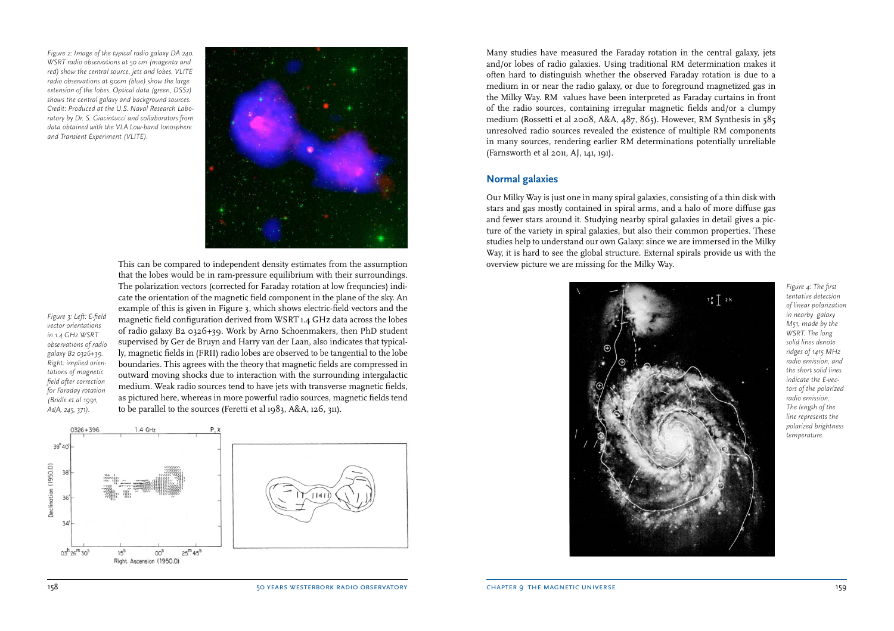*Figure 2: Image of the typical radio galaxy DA 240. WSRT radio observations at 50 cm (magenta and red) show the central source, jets and lobes. VLITE radio observations at 90cm (blue) show the large extension of the lobes. Optical data (green, DSS2) shows the central galaxy and background sources. Credit: Produced at the U.S. Naval Research Laboratory by Dr. S. Giacintucci and collaborators from data obtained with the VLA Low-band Ionosphere and Transient Experiment (VLITE).*



*Figure 3: Left: E-field vector orientations in 1.4 GHz WSRT observations of radio galaxy B2 0326+39. Right: implied orientations of magnetic field after correction for Faraday rotation (Bridle et al 1991, A&A, 245, 371).* 

This can be compared to independent density estimates from the assumption that the lobes would be in ram-pressure equilibrium with their surroundings. The polarization vectors (corrected for Faraday rotation at low frequncies) indicate the orientation of the magnetic field component in the plane of the sky. An example of this is given in Figure 3, which shows electric-field vectors and the magnetic field configuration derived from WSRT 1.4 GHz data across the lobes of radio galaxy B2 0326+39. Work by Arno Schoenmakers, then PhD student supervised by Ger de Bruyn and Harry van der Laan, also indicates that typically, magnetic fields in (FRII) radio lobes are observed to be tangential to the lobe boundaries. This agrees with the theory that magnetic fields are compressed in outward moving shocks due to interaction with the surrounding intergalactic medium. Weak radio sources tend to have jets with transverse magnetic fields, as pictured here, whereas in more powerful radio sources, magnetic fields tend to be parallel to the sources (Feretti et al 1983, A&A, 126, 311).



Many studies have measured the Faraday rotation in the central galaxy, jets and/or lobes of radio galaxies. Using traditional RM determination makes it often hard to distinguish whether the observed Faraday rotation is due to a medium in or near the radio galaxy, or due to foreground magnetized gas in the Milky Way. RM values have been interpreted as Faraday curtains in front of the radio sources, containing irregular magnetic fields and/or a clumpy medium (Rossetti et al 2008, A&A, 487, 865). However, RM Synthesis in 585 unresolved radio sources revealed the existence of multiple RM components in many sources, rendering earlier RM determinations potentially unreliable (Farnsworth et al 2011, AJ, 141, 191).

#### **Normal galaxies**

Our Milky Way is just one in many spiral galaxies, consisting of a thin disk with stars and gas mostly contained in spiral arms, and a halo of more diffuse gas and fewer stars around it. Studying nearby spiral galaxies in detail gives a picture of the variety in spiral galaxies, but also their common properties. These studies help to understand our own Galaxy: since we are immersed in the Milky Way, it is hard to see the global structure. External spirals provide us with the overview picture we are missing for the Milky Way.



*Figure 4: The first tentative detection of linear polarization in nearby galaxy M51, made by the WSRT. The long solid lines denote ridges of 1415 MHz radio emission, and the short solid lines indicate the E-vectors of the polarized radio emission. The length of the line represents the polarized brightness temperature.*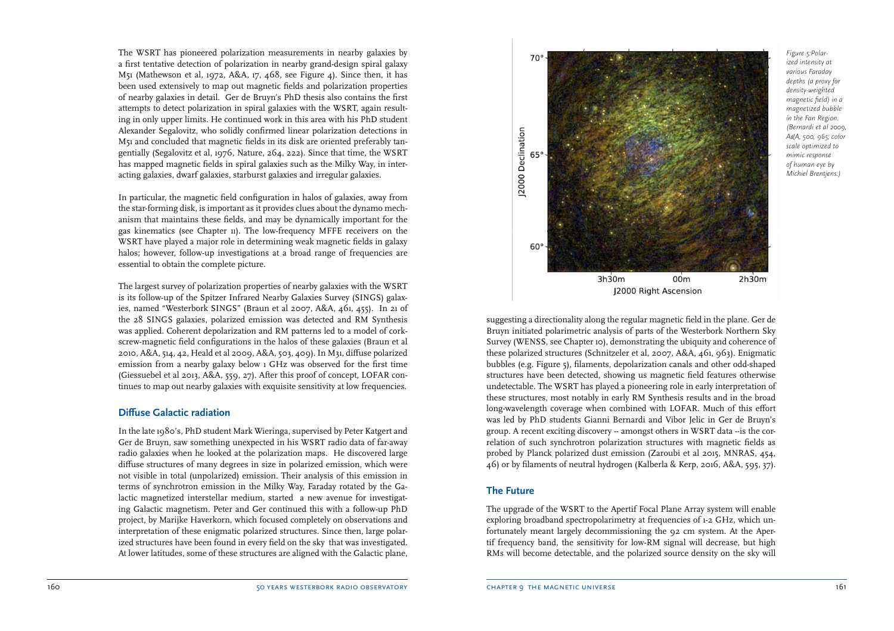The WSRT has pioneered polarization measurements in nearby galaxies by a first tentative detection of polarization in nearby grand-design spiral galaxy M51 (Mathewson et al, 1972, A&A, 17, 468, see Figure 4). Since then, it has been used extensively to map out magnetic fields and polarization properties of nearby galaxies in detail. Ger de Bruyn's PhD thesis also contains the first attempts to detect polarization in spiral galaxies with the WSRT, again resulting in only upper limits. He continued work in this area with his PhD student Alexander Segalovitz, who solidly confirmed linear polarization detections in M51 and concluded that magnetic fields in its disk are oriented preferably tangentially (Segalovitz et al, 1976, Nature, 264, 222). Since that time, the WSRT has mapped magnetic fields in spiral galaxies such as the Milky Way, in interacting galaxies, dwarf galaxies, starburst galaxies and irregular galaxies.

In particular, the magnetic field configuration in halos of galaxies, away from the star-forming disk, is important as it provides clues about the dynamo mechanism that maintains these fields, and may be dynamically important for the gas kinematics (see Chapter 11). The low-frequency MFFE receivers on the WSRT have played a major role in determining weak magnetic fields in galaxy halos; however, follow-up investigations at a broad range of frequencies are essential to obtain the complete picture.

The largest survey of polarization properties of nearby galaxies with the WSRT is its follow-up of the Spitzer Infrared Nearby Galaxies Survey (SINGS) galaxies, named "Westerbork SINGS" (Braun et al 2007, A&A, 461, 455). In 21 of the 28 SINGS galaxies, polarized emission was detected and RM Synthesis was applied. Coherent depolarization and RM patterns led to a model of corkscrew-magnetic field configurations in the halos of these galaxies (Braun et al 2010, A&A, 514, 42, Heald et al 2009, A&A, 503, 409). In M31, diffuse polarized emission from a nearby galaxy below 1 GHz was observed for the first time (Giessuebel et al 2013, A&A, 559, 27). After this proof of concept, LOFAR continues to map out nearby galaxies with exquisite sensitivity at low frequencies.

#### **Diffuse Galactic radiation**

In the late 1980's, PhD student Mark Wieringa, supervised by Peter Katgert and Ger de Bruyn, saw something unexpected in his WSRT radio data of far-away radio galaxies when he looked at the polarization maps. He discovered large diffuse structures of many degrees in size in polarized emission, which were not visible in total (unpolarized) emission. Their analysis of this emission in terms of synchrotron emission in the Milky Way, Faraday rotated by the Galactic magnetized interstellar medium, started a new avenue for investigating Galactic magnetism. Peter and Ger continued this with a follow-up PhD project, by Marijke Haverkorn, which focused completely on observations and interpretation of these enigmatic polarized structures. Since then, large polarized structures have been found in every field on the sky that was investigated. At lower latitudes, some of these structures are aligned with the Galactic plane,



*Figure 5:Polarized intensity at various Faraday depths (a proxy for density-weighted magnetic field) in a magnetized bubble in the Fan Region. (Bernardi et al 2009, A&A, 500, 965; color scale optimized to mimic response of human eye by Michiel Brentjens.)*

suggesting a directionality along the regular magnetic field in the plane. Ger de Bruyn initiated polarimetric analysis of parts of the Westerbork Northern Sky Survey (WENSS, see Chapter 10), demonstrating the ubiquity and coherence of these polarized structures (Schnitzeler et al, 2007, A&A, 461, 963). Enigmatic bubbles (e.g. Figure 5), filaments, depolarization canals and other odd-shaped structures have been detected, showing us magnetic field features otherwise undetectable. The WSRT has played a pioneering role in early interpretation of these structures, most notably in early RM Synthesis results and in the broad long-wavelength coverage when combined with LOFAR. Much of this effort was led by PhD students Gianni Bernardi and Vibor Jelic in Ger de Bruyn's group. A recent exciting discovery -- amongst others in WSRT data --is the correlation of such synchrotron polarization structures with magnetic fields as probed by Planck polarized dust emission (Zaroubi et al 2015, MNRAS, 454, 46) or by filaments of neutral hydrogen (Kalberla & Kerp, 2016, A&A, 595, 37).

### **The Future**

The upgrade of the WSRT to the Apertif Focal Plane Array system will enable exploring broadband spectropolarimetry at frequencies of 1-2 GHz, which unfortunately meant largely decommissioning the 92 cm system. At the Apertif frequency band, the sensitivity for low-RM signal will decrease, but high RMs will become detectable, and the polarized source density on the sky will